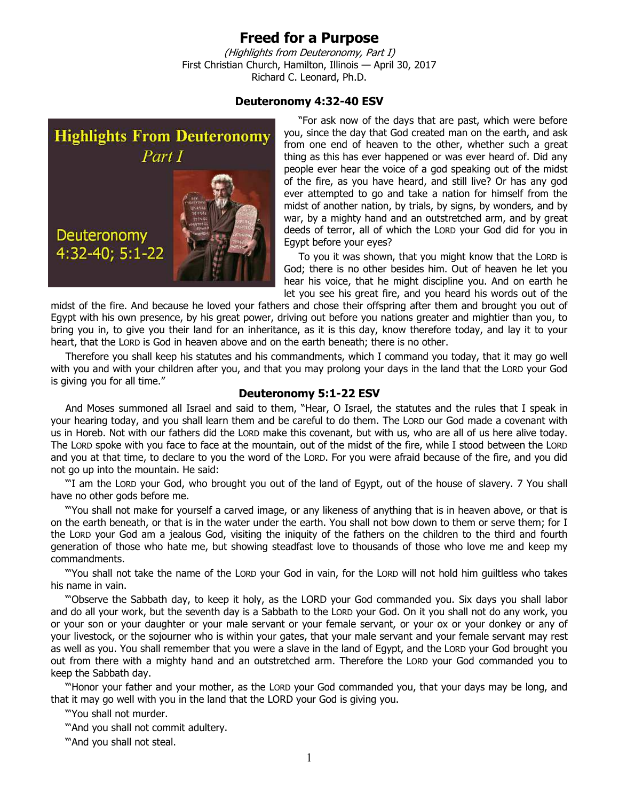## **Freed for a Purpose**

(Highlights from Deuteronomy, Part I) First Christian Church, Hamilton, Illinois — April 30, 2017 Richard C. Leonard, Ph.D.

## **Deuteronomy 4:32-40 ESV**



"For ask now of the days that are past, which were before you, since the day that God created man on the earth, and ask from one end of heaven to the other, whether such a great thing as this has ever happened or was ever heard of. Did any people ever hear the voice of a god speaking out of the midst of the fire, as you have heard, and still live? Or has any god ever attempted to go and take a nation for himself from the midst of another nation, by trials, by signs, by wonders, and by war, by a mighty hand and an outstretched arm, and by great deeds of terror, all of which the LORD your God did for you in Egypt before your eyes?

To you it was shown, that you might know that the LORD is God; there is no other besides him. Out of heaven he let you hear his voice, that he might discipline you. And on earth he let you see his great fire, and you heard his words out of the

midst of the fire. And because he loved your fathers and chose their offspring after them and brought you out of Egypt with his own presence, by his great power, driving out before you nations greater and mightier than you, to bring you in, to give you their land for an inheritance, as it is this day, know therefore today, and lay it to your heart, that the LORD is God in heaven above and on the earth beneath; there is no other.

Therefore you shall keep his statutes and his commandments, which I command you today, that it may go well with you and with your children after you, and that you may prolong your days in the land that the LORD your God is giving you for all time."

## **Deuteronomy 5:1-22 ESV**

And Moses summoned all Israel and said to them, "Hear, O Israel, the statutes and the rules that I speak in your hearing today, and you shall learn them and be careful to do them. The LORD our God made a covenant with us in Horeb. Not with our fathers did the LORD make this covenant, but with us, who are all of us here alive today. The LORD spoke with you face to face at the mountain, out of the midst of the fire, while I stood between the LORD and you at that time, to declare to you the word of the LORD. For you were afraid because of the fire, and you did not go up into the mountain. He said:

"'I am the LORD your God, who brought you out of the land of Egypt, out of the house of slavery. 7 You shall have no other gods before me.

"'You shall not make for yourself a carved image, or any likeness of anything that is in heaven above, or that is on the earth beneath, or that is in the water under the earth. You shall not bow down to them or serve them; for I the LORD your God am a jealous God, visiting the iniquity of the fathers on the children to the third and fourth generation of those who hate me, but showing steadfast love to thousands of those who love me and keep my commandments.

"'You shall not take the name of the LORD your God in vain, for the LORD will not hold him guiltless who takes his name in vain.

"'Observe the Sabbath day, to keep it holy, as the LORD your God commanded you. Six days you shall labor and do all your work, but the seventh day is a Sabbath to the LORD your God. On it you shall not do any work, you or your son or your daughter or your male servant or your female servant, or your ox or your donkey or any of your livestock, or the sojourner who is within your gates, that your male servant and your female servant may rest as well as you. You shall remember that you were a slave in the land of Egypt, and the LORD your God brought you out from there with a mighty hand and an outstretched arm. Therefore the LORD your God commanded you to keep the Sabbath day.

"'Honor your father and your mother, as the LORD your God commanded you, that your days may be long, and that it may go well with you in the land that the LORD your God is giving you.

"'You shall not murder.

""And you shall not commit adultery.

""And you shall not steal.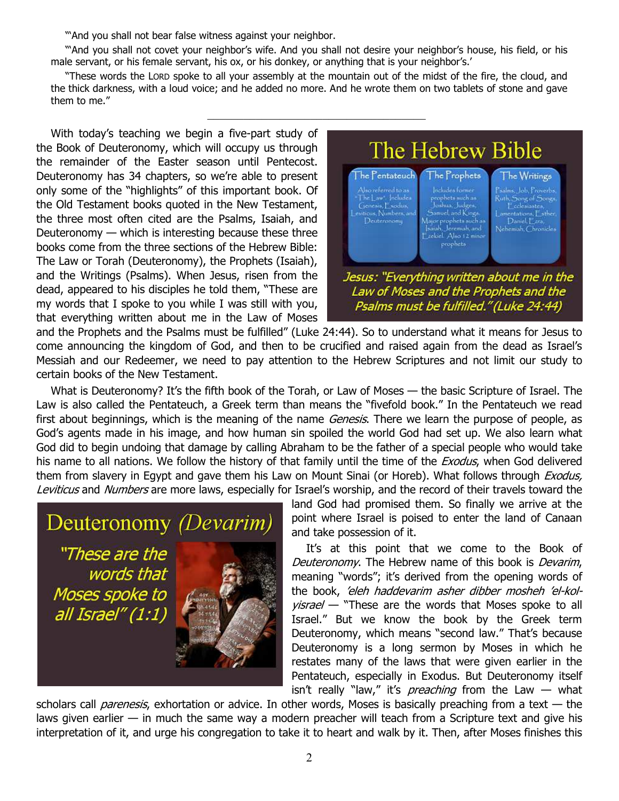""And you shall not bear false witness against your neighbor.

"'And you shall not covet your neighbor's wife. And you shall not desire your neighbor's house, his field, or his male servant, or his female servant, his ox, or his donkey, or anything that is your neighbor's.'

"These words the LORD spoke to all your assembly at the mountain out of the midst of the fire, the cloud, and the thick darkness, with a loud voice; and he added no more. And he wrote them on two tablets of stone and gave them to me."

With today's teaching we begin a five-part study of the Book of Deuteronomy, which will occupy us through the remainder of the Easter season until Pentecost. Deuteronomy has 34 chapters, so we're able to present only some of the "highlights" of this important book. Of the Old Testament books quoted in the New Testament, the three most often cited are the Psalms, Isaiah, and Deuteronomy — which is interesting because these three books come from the three sections of the Hebrew Bible: The Law or Torah (Deuteronomy), the Prophets (Isaiah), and the Writings (Psalms). When Jesus, risen from the dead, appeared to his disciples he told them, "These are my words that I spoke to you while I was still with you, that everything written about me in the Law of Moses



and the Prophets and the Psalms must be fulfilled" (Luke 24:44). So to understand what it means for Jesus to come announcing the kingdom of God, and then to be crucified and raised again from the dead as Israel's Messiah and our Redeemer, we need to pay attention to the Hebrew Scriptures and not limit our study to certain books of the New Testament.

What is Deuteronomy? It's the fifth book of the Torah, or Law of Moses — the basic Scripture of Israel. The Law is also called the Pentateuch, a Greek term than means the "fivefold book." In the Pentateuch we read first about beginnings, which is the meaning of the name *Genesis*. There we learn the purpose of people, as God's agents made in his image, and how human sin spoiled the world God had set up. We also learn what God did to begin undoing that damage by calling Abraham to be the father of a special people who would take his name to all nations. We follow the history of that family until the time of the *Exodus*, when God delivered them from slavery in Egypt and gave them his Law on Mount Sinai (or Horeb). What follows through *Exodus*, Leviticus and Numbers are more laws, especially for Israel's worship, and the record of their travels toward the



land God had promised them. So finally we arrive at the point where Israel is poised to enter the land of Canaan and take possession of it.

It's at this point that we come to the Book of Deuteronomy. The Hebrew name of this book is Devarim, meaning "words"; it's derived from the opening words of the book, 'eleh haddevarim asher dibber mosheh 'el-kol $y \text{ is real}$  — "These are the words that Moses spoke to all Israel." But we know the book by the Greek term Deuteronomy, which means "second law." That's because Deuteronomy is a long sermon by Moses in which he restates many of the laws that were given earlier in the Pentateuch, especially in Exodus. But Deuteronomy itself isn't really "law," it's *preaching* from the Law  $-$  what

scholars call *parenesis*, exhortation or advice. In other words, Moses is basically preaching from a text — the laws given earlier — in much the same way a modern preacher will teach from a Scripture text and give his interpretation of it, and urge his congregation to take it to heart and walk by it. Then, after Moses finishes this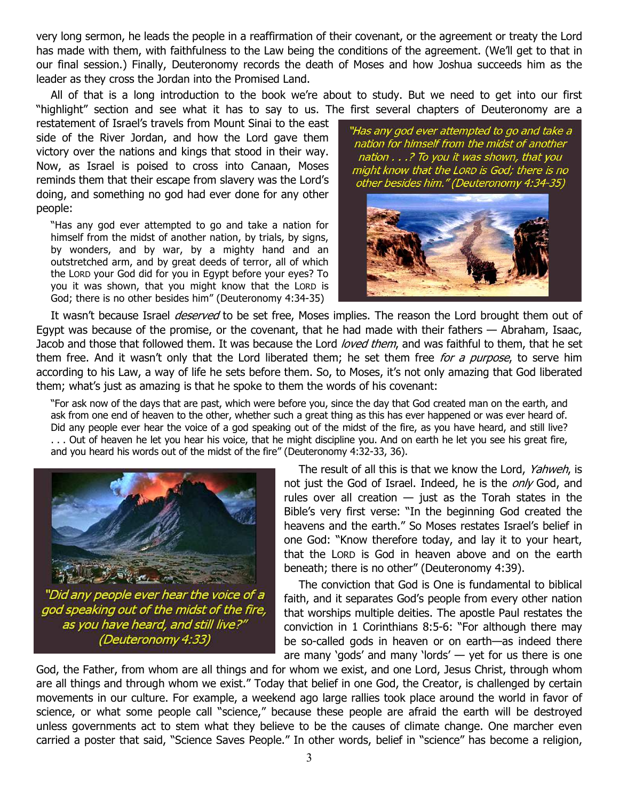very long sermon, he leads the people in a reaffirmation of their covenant, or the agreement or treaty the Lord has made with them, with faithfulness to the Law being the conditions of the agreement. (We'll get to that in our final session.) Finally, Deuteronomy records the death of Moses and how Joshua succeeds him as the leader as they cross the Jordan into the Promised Land.

All of that is a long introduction to the book we're about to study. But we need to get into our first "highlight" section and see what it has to say to us. The first several chapters of Deuteronomy are a

restatement of Israel's travels from Mount Sinai to the east side of the River Jordan, and how the Lord gave them victory over the nations and kings that stood in their way. Now, as Israel is poised to cross into Canaan, Moses reminds them that their escape from slavery was the Lord's doing, and something no god had ever done for any other people:

"Has any god ever attempted to go and take a nation for himself from the midst of another nation, by trials, by signs, by wonders, and by war, by a mighty hand and an outstretched arm, and by great deeds of terror, all of which the LORD your God did for you in Egypt before your eyes? To you it was shown, that you might know that the LORD is God; there is no other besides him" (Deuteronomy 4:34-35)

"Has any god ever attempted to go and take a nation for himself from the midst of another nation . . .? To you it was shown, that you might know that the Lorp is God; there is no other besides him." (Deuteronomy 4:34-35)



It wasn't because Israel *deserved* to be set free, Moses implies. The reason the Lord brought them out of Egypt was because of the promise, or the covenant, that he had made with their fathers — Abraham, Isaac, Jacob and those that followed them. It was because the Lord *loved them*, and was faithful to them, that he set them free. And it wasn't only that the Lord liberated them; he set them free for a purpose, to serve him according to his Law, a way of life he sets before them. So, to Moses, it's not only amazing that God liberated them; what's just as amazing is that he spoke to them the words of his covenant:

"For ask now of the days that are past, which were before you, since the day that God created man on the earth, and ask from one end of heaven to the other, whether such a great thing as this has ever happened or was ever heard of. Did any people ever hear the voice of a god speaking out of the midst of the fire, as you have heard, and still live? ... Out of heaven he let you hear his voice, that he might discipline you. And on earth he let you see his great fire, and you heard his words out of the midst of the fire" (Deuteronomy 4:32-33, 36).



"Did any people ever hear the voice of a god speaking out of the midst of the fire, as you have heard, and still live?" (Deuteronomy 4:33)

The result of all this is that we know the Lord, Yahweh, is not just the God of Israel. Indeed, he is the *only* God, and rules over all creation  $-$  just as the Torah states in the Bible's very first verse: "In the beginning God created the heavens and the earth." So Moses restates Israel's belief in one God: "Know therefore today, and lay it to your heart, that the LORD is God in heaven above and on the earth beneath; there is no other" (Deuteronomy 4:39).

The conviction that God is One is fundamental to biblical faith, and it separates God's people from every other nation that worships multiple deities. The apostle Paul restates the conviction in 1 Corinthians 8:5-6: "For although there may be so-called gods in heaven or on earth—as indeed there are many 'gods' and many 'lords' — yet for us there is one

God, the Father, from whom are all things and for whom we exist, and one Lord, Jesus Christ, through whom are all things and through whom we exist." Today that belief in one God, the Creator, is challenged by certain movements in our culture. For example, a weekend ago large rallies took place around the world in favor of science, or what some people call "science," because these people are afraid the earth will be destroyed unless governments act to stem what they believe to be the causes of climate change. One marcher even carried a poster that said, "Science Saves People." In other words, belief in "science" has become a religion,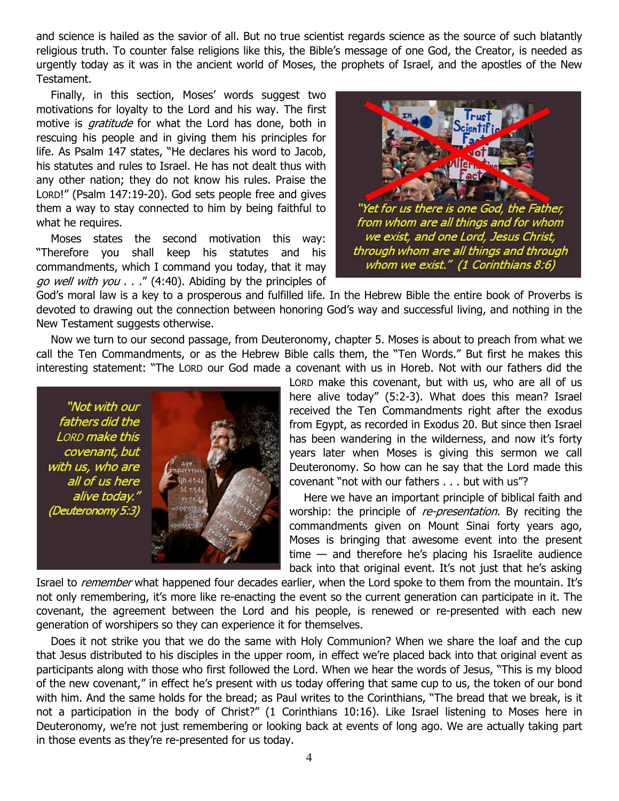and science is hailed as the savior of all. But no true scientist regards science as the source of such blatantly religious truth. To counter false religions like this, the Bible's message of one God, the Creator, is needed as urgently today as it was in the ancient world of Moses, the prophets of Israel, and the apostles of the New Testament.

Finally, in this section, Moses' words suggest two motivations for loyalty to the Lord and his way. The first motive is *gratitude* for what the Lord has done, both in rescuing his people and in giving them his principles for life. As Psalm 147 states, "He declares his word to Jacob, his statutes and rules to Israel. He has not dealt thus with any other nation; they do not know his rules. Praise the LORD!" (Psalm 147:19-20). God sets people free and gives them a way to stay connected to him by being faithful to what he requires.

Moses states the second motivation this way: "Therefore you shall keep his statutes and his commandments, which I command you today, that it may go well with you . . ." (4:40). Abiding by the principles of



God's moral law is a key to a prosperous and fulfilled life. In the Hebrew Bible the entire book of Proverbs is devoted to drawing out the connection between honoring God's way and successful living, and nothing in the New Testament suggests otherwise.

Now we turn to our second passage, from Deuteronomy, chapter 5. Moses is about to preach from what we call the Ten Commandments, or as the Hebrew Bible calls them, the "Ten Words." But first he makes this interesting statement: "The LORD our God made a covenant with us in Horeb. Not with our fathers did the



LORD make this covenant, but with us, who are all of us here alive today" (5:2-3). What does this mean? Israel received the Ten Commandments right after the exodus from Egypt, as recorded in Exodus 20. But since then Israel has been wandering in the wilderness, and now it's forty years later when Moses is giving this sermon we call Deuteronomy. So how can he say that the Lord made this covenant "not with our fathers . . . but with us"?

Here we have an important principle of biblical faith and worship: the principle of *re-presentation*. By reciting the commandments given on Mount Sinai forty years ago, Moses is bringing that awesome event into the present time — and therefore he's placing his Israelite audience back into that original event. It's not just that he's asking

Israel to remember what happened four decades earlier, when the Lord spoke to them from the mountain. It's not only remembering, it's more like re-enacting the event so the current generation can participate in it. The covenant, the agreement between the Lord and his people, is renewed or re-presented with each new generation of worshipers so they can experience it for themselves.

Does it not strike you that we do the same with Holy Communion? When we share the loaf and the cup that Jesus distributed to his disciples in the upper room, in effect we're placed back into that original event as participants along with those who first followed the Lord. When we hear the words of Jesus, "This is my blood of the new covenant," in effect he's present with us today offering that same cup to us, the token of our bond with him. And the same holds for the bread; as Paul writes to the Corinthians, "The bread that we break, is it not a participation in the body of Christ?" (1 Corinthians 10:16). Like Israel listening to Moses here in Deuteronomy, we're not just remembering or looking back at events of long ago. We are actually taking part in those events as they're re-presented for us today.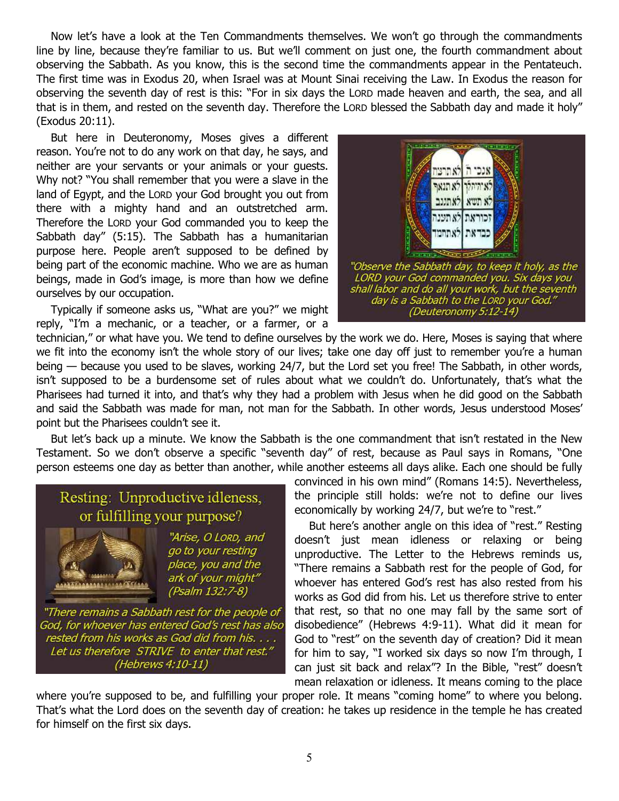Now let's have a look at the Ten Commandments themselves. We won't go through the commandments line by line, because they're familiar to us. But we'll comment on just one, the fourth commandment about observing the Sabbath. As you know, this is the second time the commandments appear in the Pentateuch. The first time was in Exodus 20, when Israel was at Mount Sinai receiving the Law. In Exodus the reason for observing the seventh day of rest is this: "For in six days the LORD made heaven and earth, the sea, and all that is in them, and rested on the seventh day. Therefore the LORD blessed the Sabbath day and made it holy" (Exodus 20:11).

But here in Deuteronomy, Moses gives a different reason. You're not to do any work on that day, he says, and neither are your servants or your animals or your guests. Why not? "You shall remember that you were a slave in the land of Egypt, and the LORD your God brought you out from there with a mighty hand and an outstretched arm. Therefore the LORD your God commanded you to keep the Sabbath day" (5:15). The Sabbath has a humanitarian purpose here. People aren't supposed to be defined by being part of the economic machine. Who we are as human beings, made in God's image, is more than how we define ourselves by our occupation.

Typically if someone asks us, "What are you?" we might reply, "I'm a mechanic, or a teacher, or a farmer, or a



(Deuteronomy 5:12-14)

technician," or what have you. We tend to define ourselves by the work we do. Here, Moses is saying that where we fit into the economy isn't the whole story of our lives; take one day off just to remember you're a human being — because you used to be slaves, working 24/7, but the Lord set you free! The Sabbath, in other words, isn't supposed to be a burdensome set of rules about what we couldn't do. Unfortunately, that's what the Pharisees had turned it into, and that's why they had a problem with Jesus when he did good on the Sabbath and said the Sabbath was made for man, not man for the Sabbath. In other words, Jesus understood Moses' point but the Pharisees couldn't see it.

But let's back up a minute. We know the Sabbath is the one commandment that isn't restated in the New Testament. So we don't observe a specific "seventh day" of rest, because as Paul says in Romans, "One person esteems one day as better than another, while another esteems all days alike. Each one should be fully

## Resting: Unproductive idleness, or fulfilling your purpose?



"Arise, O LORD, and go to your resting place, you and the ark of your might" (Psalm 132:7-8)

"There remains a Sabbath rest for the people of God, for whoever has entered God's rest has also rested from his works as God did from his. . . . Let us therefore STRIVE to enter that rest. (Hebrews 4:10-11)

convinced in his own mind" (Romans 14:5). Nevertheless, the principle still holds: we're not to define our lives economically by working 24/7, but we're to "rest."

But here's another angle on this idea of "rest." Resting doesn't just mean idleness or relaxing or being unproductive. The Letter to the Hebrews reminds us, "There remains a Sabbath rest for the people of God, for whoever has entered God's rest has also rested from his works as God did from his. Let us therefore strive to enter that rest, so that no one may fall by the same sort of disobedience" (Hebrews 4:9-11). What did it mean for God to "rest" on the seventh day of creation? Did it mean for him to say, "I worked six days so now I'm through, I can just sit back and relax"? In the Bible, "rest" doesn't mean relaxation or idleness. It means coming to the place

where you're supposed to be, and fulfilling your proper role. It means "coming home" to where you belong. That's what the Lord does on the seventh day of creation: he takes up residence in the temple he has created for himself on the first six days.